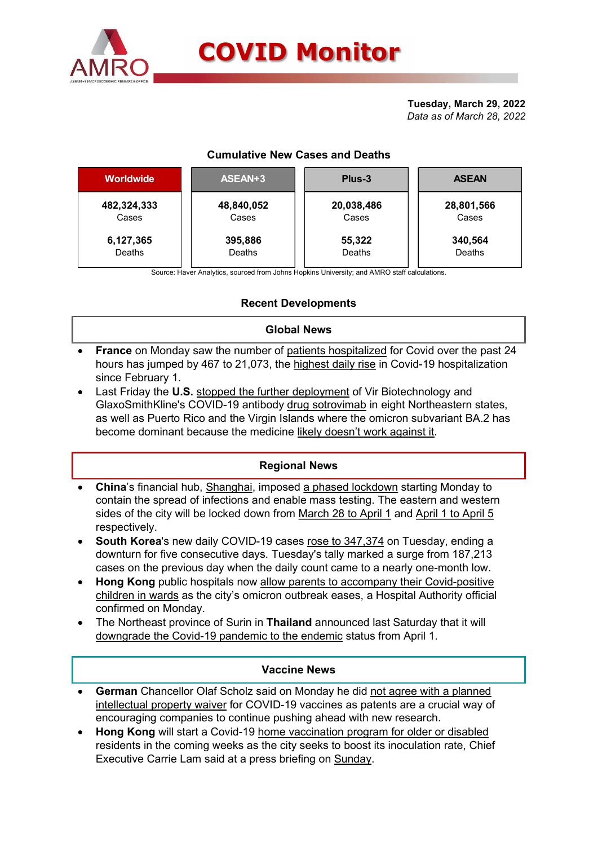

# Cumulative New Cases and Deaths

|                      |                     | <b>COVID Monitor</b>                   |                           |
|----------------------|---------------------|----------------------------------------|---------------------------|
|                      |                     |                                        | Tuesday, March 29, 2022   |
|                      |                     |                                        | Data as of March 28, 2022 |
|                      |                     |                                        |                           |
|                      |                     | <b>Cumulative New Cases and Deaths</b> |                           |
| <b>Worldwide</b>     | ASEAN+3             | Plus-3                                 | <b>ASEAN</b>              |
|                      |                     |                                        |                           |
| 482,324,333<br>Cases | 48,840,052<br>Cases | 20,038,486<br>Cases                    | 28,801,566<br>Cases       |

# Recent Developments

## Global News

- France on Monday saw the number of patients hospitalized for Covid over the past 24 hours has jumped by 467 to 21,073, the highest daily rise in Covid-19 hospitalization since February 1.
- Last Friday the U.S. stopped the further deployment of Vir Biotechnology and GlaxoSmithKline's COVID-19 antibody drug sotrovimab in eight Northeastern states, as well as Puerto Rico and the Virgin Islands where the omicron subvariant BA.2 has become dominant because the medicine likely doesn't work against it.

# Regional News

- China's financial hub, Shanghai, imposed a phased lockdown starting Monday to contain the spread of infections and enable mass testing. The eastern and western sides of the city will be locked down from March 28 to April 1 and April 1 to April 5 respectively.
- South Korea's new daily COVID-19 cases rose to 347,374 on Tuesday, ending a downturn for five consecutive days. Tuesday's tally marked a surge from 187,213 cases on the previous day when the daily count came to a nearly one-month low.
- Hong Kong public hospitals now allow parents to accompany their Covid-positive children in wards as the city's omicron outbreak eases, a Hospital Authority official confirmed on Monday.
- The Northeast province of Surin in Thailand announced last Saturday that it will downgrade the Covid-19 pandemic to the endemic status from April 1.

#### Vaccine News

- German Chancellor Olaf Scholz said on Monday he did not agree with a planned intellectual property waiver for COVID-19 vaccines as patents are a crucial way of encouraging companies to continue pushing ahead with new research.
- Hong Kong will start a Covid-19 home vaccination program for older or disabled residents in the coming weeks as the city seeks to boost its inoculation rate, Chief Executive Carrie Lam said at a press briefing on Sunday.